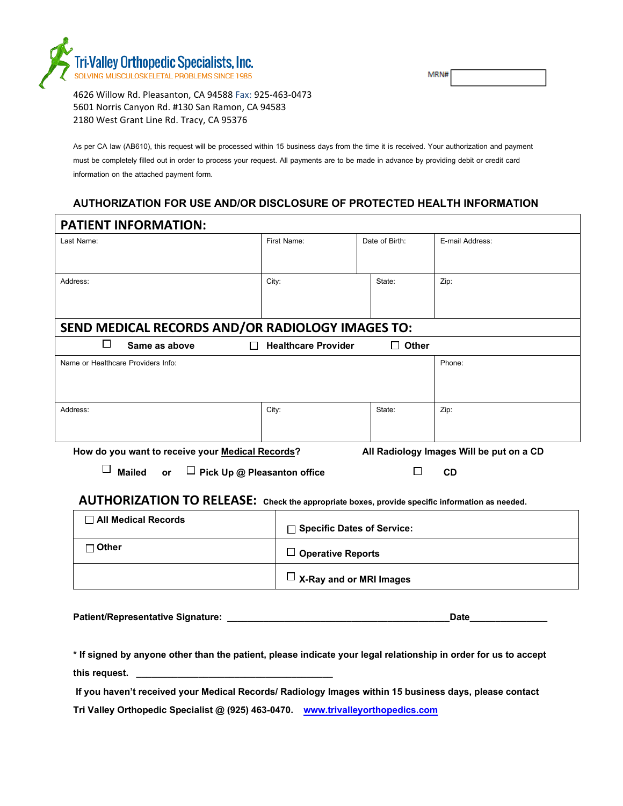

N

4626 Willow Rd. Pleasanton, CA 94588 Fax: 925-463-0473 5601 Norris Canyon Rd. #130 San Ramon, CA 94583 2180 West Grant Line Rd. Tracy, CA 95376

As per CA law (AB610), this request will be processed within 15 business days from the time it is received. Your authorization and payment must be completely filled out in order to process your request. All payments are to be made in advance by providing debit or credit card information on the attached payment form.

## **AUTHORIZATION FOR USE AND/OR DISCLOSURE OF PROTECTED HEALTH INFORMATION**

| <b>PATIENT INFORMATION:</b>                                                                  |                            |                |                 |  |
|----------------------------------------------------------------------------------------------|----------------------------|----------------|-----------------|--|
| Last Name:                                                                                   | First Name:                | Date of Birth: | E-mail Address: |  |
|                                                                                              |                            |                |                 |  |
|                                                                                              |                            |                |                 |  |
| Address:                                                                                     | City:                      | State:         | Zip:            |  |
|                                                                                              |                            |                |                 |  |
|                                                                                              |                            |                |                 |  |
| SEND MEDICAL RECORDS AND/OR RADIOLOGY IMAGES TO:                                             |                            |                |                 |  |
| $\Box$<br>Same as above                                                                      | <b>Healthcare Provider</b> | Other<br>LΙ    |                 |  |
| Name or Healthcare Providers Info:                                                           |                            |                | Phone:          |  |
|                                                                                              |                            |                |                 |  |
|                                                                                              |                            |                |                 |  |
| Address:                                                                                     | City:                      | State:         | Zip:            |  |
|                                                                                              |                            |                |                 |  |
|                                                                                              |                            |                |                 |  |
| How do you want to receive your Medical Records?<br>All Radiology Images Will be put on a CD |                            |                |                 |  |

 **Mailed or Pick Up @ Pleasanton office CD**

## **AUTHORIZATION TO RELEASE: Check the appropriate boxes, provide specific information as needed.**

| ヿ All Medical Records | $\Box$ Specific Dates of Service: |
|-----------------------|-----------------------------------|
| ⊓ Other               | $\Box$ Operative Reports          |
|                       | $\Box$ X-Ray and or MRI Images    |

| <b>Patient/Representative Signature:</b> | <b>Date</b> |  |
|------------------------------------------|-------------|--|
|                                          |             |  |

**\* If signed by anyone other than the patient, please indicate your legal relationship in order for us to accept this request. \_\_\_\_\_\_\_\_\_\_\_\_\_\_\_\_\_\_\_\_\_\_\_\_\_\_\_\_\_\_\_\_\_\_\_\_\_\_**

If you haven't received your Medical Records/ Radiology Images within 15 business days, please contact

**Tri Valley Orthopedic Specialist @ (925) 463-0470. [www.trivalleyorthopedics.com](http://www.trivalleyorthopedics.com/)**